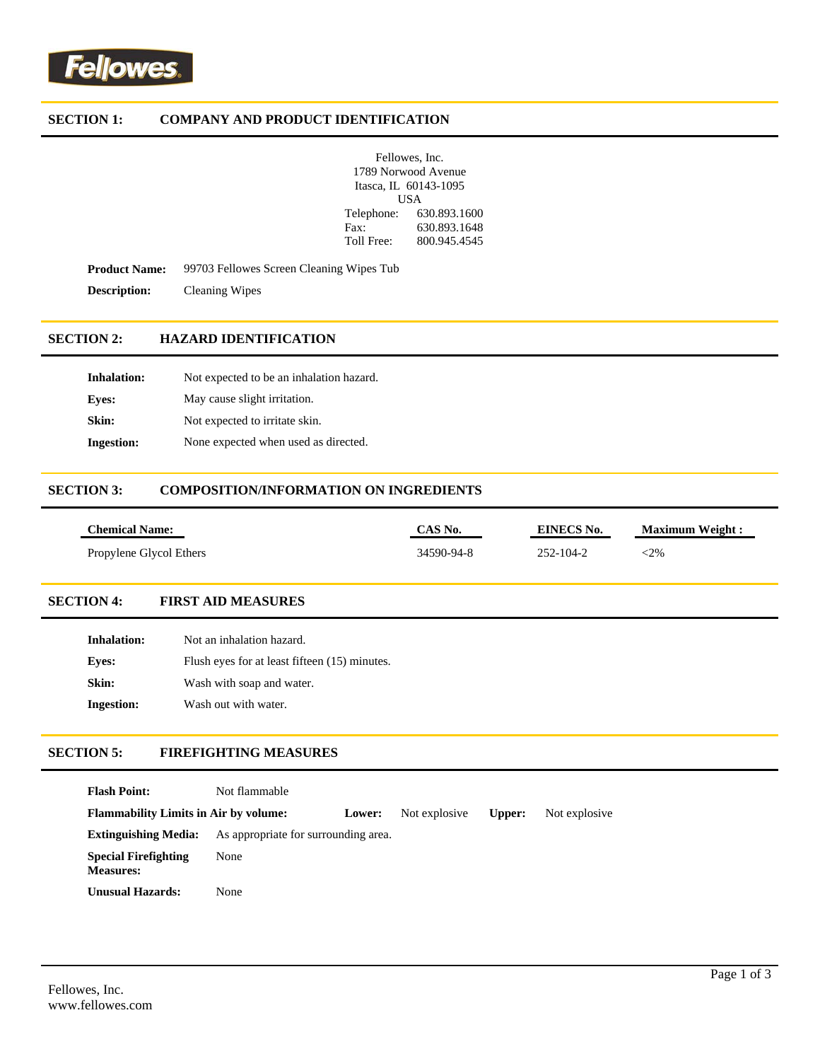# **SECTION 1: COMPANY AND PRODUCT IDENTIFICATION**

| Fellowes, Inc. |                       |
|----------------|-----------------------|
|                | 1789 Norwood Avenue   |
|                | Itasca, IL 60143-1095 |
| USA            |                       |
| Telephone:     | 630.893.1600          |
| Fax:           | 630.893.1648          |
| Toll Free:     | 800.945.4545          |

Product Name: 99703 Fellowes Screen Cleaning Wipes Tub **Description:** Cleaning Wipes

# **SECTION 2: HAZARD IDENTIFICATION**

| <b>Inhalation:</b> | Not expected to be an inhalation hazard. |
|--------------------|------------------------------------------|
| Eves:              | May cause slight irritation.             |
| Skin:              | Not expected to irritate skin.           |
| <b>Ingestion:</b>  | None expected when used as directed.     |

### **SECTION 3: COMPOSITION/INFORMATION ON INGREDIENTS**

| <b>Chemical Name:</b>   | $CAS$ No.  | EINECS No. | <b>Maximum Weight:</b> |
|-------------------------|------------|------------|------------------------|
| Propylene Glycol Ethers | 34590-94-8 | 252-104-2  | :2%                    |

## **SECTION 4: FIRST AID MEASURES**

| Inhalation:       | Not an inhalation hazard.                     |
|-------------------|-----------------------------------------------|
| Eves:             | Flush eyes for at least fifteen (15) minutes. |
| Skin:             | Wash with soap and water.                     |
| <b>Ingestion:</b> | Wash out with water.                          |

## **SECTION 5: FIREFIGHTING MEASURES**

| <b>Flash Point:</b>                             | Not flammable                        |        |               |        |               |
|-------------------------------------------------|--------------------------------------|--------|---------------|--------|---------------|
| <b>Flammability Limits in Air by volume:</b>    |                                      | Lower: | Not explosive | Upper: | Not explosive |
| <b>Extinguishing Media:</b>                     | As appropriate for surrounding area. |        |               |        |               |
| <b>Special Firefighting</b><br><b>Measures:</b> | None                                 |        |               |        |               |
| Unusual Hazards:                                | None                                 |        |               |        |               |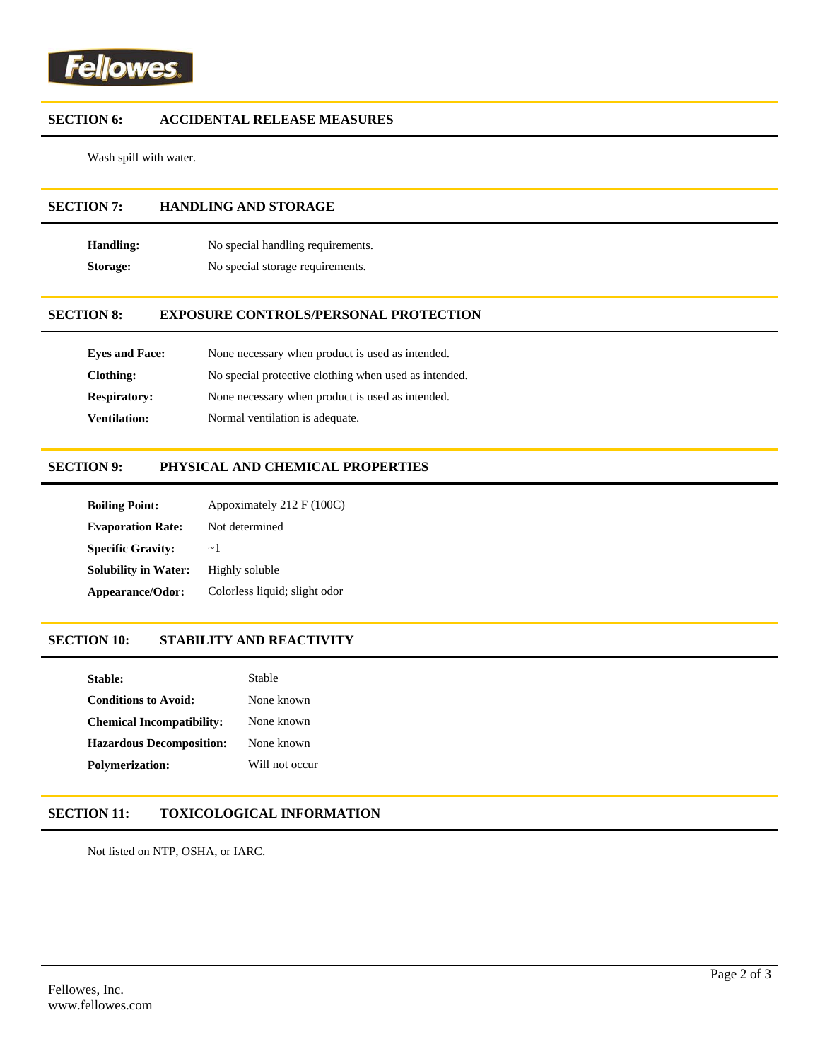

## **SECTION 6: ACCIDENTAL RELEASE MEASURES**

Wash spill with water.

# **SECTION 7: HANDLING AND STORAGE**

**Handling:** No special handling requirements. **Storage:** No special storage requirements.

#### **SECTION 8: EXPOSURE CONTROLS/PERSONAL PROTECTION**

| <b>Eves and Face:</b> | None necessary when product is used as intended.      |
|-----------------------|-------------------------------------------------------|
| Clothing:             | No special protective clothing when used as intended. |
| <b>Respiratory:</b>   | None necessary when product is used as intended.      |
| <b>Ventilation:</b>   | Normal ventilation is adequate.                       |

#### **SECTION 9: PHYSICAL AND CHEMICAL PROPERTIES**

| <b>Boiling Point:</b>       | Appoximately 212 F (100C)     |
|-----------------------------|-------------------------------|
| <b>Evaporation Rate:</b>    | Not determined                |
| <b>Specific Gravity:</b>    | $\sim$ 1                      |
| <b>Solubility in Water:</b> | Highly soluble                |
| Appearance/Odor:            | Colorless liquid; slight odor |

## **SECTION 10: STABILITY AND REACTIVITY**

| Stable:                          | Stable         |
|----------------------------------|----------------|
| <b>Conditions to Avoid:</b>      | None known     |
| <b>Chemical Incompatibility:</b> | None known     |
| <b>Hazardous Decomposition:</b>  | None known     |
| <b>Polymerization:</b>           | Will not occur |

### **SECTION 11: TOXICOLOGICAL INFORMATION**

Not listed on NTP, OSHA, or IARC.